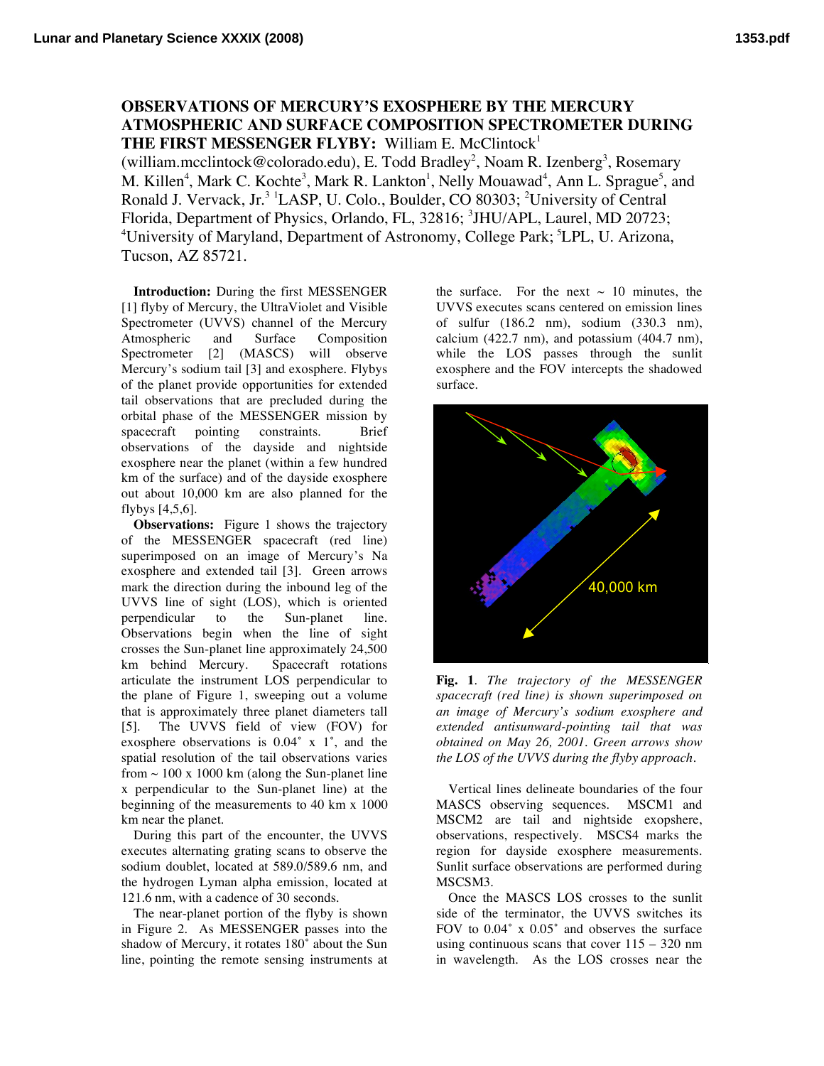## **OBSERVATIONS OF MERCURY'S EXOSPHERE BY THE MERCURY ATMOSPHERIC AND SURFACE COMPOSITION SPECTROMETER DURING THE FIRST MESSENGER FLYBY:** William E. McClintock1

(william.mcclintock@colorado.edu), E. Todd Bradley<sup>2</sup>, Noam R. Izenberg<sup>3</sup>, Rosemary M. Killen<sup>4</sup>, Mark C. Kochte<sup>3</sup>, Mark R. Lankton<sup>1</sup>, Nelly Mouawad<sup>4</sup>, Ann L. Sprague<sup>5</sup>, and Ronald J. Vervack, Jr.<sup>3 1</sup>LASP, U. Colo., Boulder, CO 80303; <sup>2</sup>University of Central Florida, Department of Physics, Orlando, FL, 32816; <sup>3</sup>JHU/APL, Laurel, MD 20723; <sup>4</sup>University of Maryland, Department of Astronomy, College Park; <sup>5</sup>LPL, U. Arizona, Tucson, AZ 85721.

**Introduction:** During the first MESSENGER [1] flyby of Mercury, the UltraViolet and Visible Spectrometer (UVVS) channel of the Mercury Atmospheric and Surface Composition Spectrometer [2] (MASCS) will observe Mercury's sodium tail [3] and exosphere. Flybys of the planet provide opportunities for extended tail observations that are precluded during the orbital phase of the MESSENGER mission by spacecraft pointing constraints. Brief observations of the dayside and nightside exosphere near the planet (within a few hundred km of the surface) and of the dayside exosphere out about 10,000 km are also planned for the flybys [4,5,6].

**Observations:** Figure 1 shows the trajectory of the MESSENGER spacecraft (red line) superimposed on an image of Mercury's Na exosphere and extended tail [3]. Green arrows mark the direction during the inbound leg of the UVVS line of sight (LOS), which is oriented perpendicular to the Sun-planet line. Observations begin when the line of sight crosses the Sun-planet line approximately 24,500 km behind Mercury. Spacecraft rotations articulate the instrument LOS perpendicular to the plane of Figure 1, sweeping out a volume that is approximately three planet diameters tall [5]. The UVVS field of view (FOV) for exosphere observations is 0.04˚ x 1˚, and the spatial resolution of the tail observations varies from  $\sim$  100 x 1000 km (along the Sun-planet line x perpendicular to the Sun-planet line) at the beginning of the measurements to 40 km x 1000 km near the planet.

During this part of the encounter, the UVVS executes alternating grating scans to observe the sodium doublet, located at 589.0/589.6 nm, and the hydrogen Lyman alpha emission, located at 121.6 nm, with a cadence of 30 seconds.

The near-planet portion of the flyby is shown in Figure 2. As MESSENGER passes into the shadow of Mercury, it rotates 180˚ about the Sun line, pointing the remote sensing instruments at the surface. For the next  $\sim$  10 minutes, the UVVS executes scans centered on emission lines of sulfur (186.2 nm), sodium (330.3 nm), calcium (422.7 nm), and potassium (404.7 nm), while the LOS passes through the sunlit exosphere and the FOV intercepts the shadowed surface.



**Fig. 1**. *The trajectory of the MESSENGER spacecraft (red line) is shown superimposed on an image of Mercury's sodium exosphere and extended antisunward-pointing tail that was obtained on May 26, 2001. Green arrows show the LOS of the UVVS during the flyby approach.*

Vertical lines delineate boundaries of the four MASCS observing sequences. MSCM1 and MSCM2 are tail and nightside exopshere, observations, respectively. MSCS4 marks the region for dayside exosphere measurements. Sunlit surface observations are performed during MSCSM3.

Once the MASCS LOS crosses to the sunlit side of the terminator, the UVVS switches its FOV to  $0.04^\circ$  x  $0.05^\circ$  and observes the surface using continuous scans that cover  $115 - 320$  nm in wavelength. As the LOS crosses near the